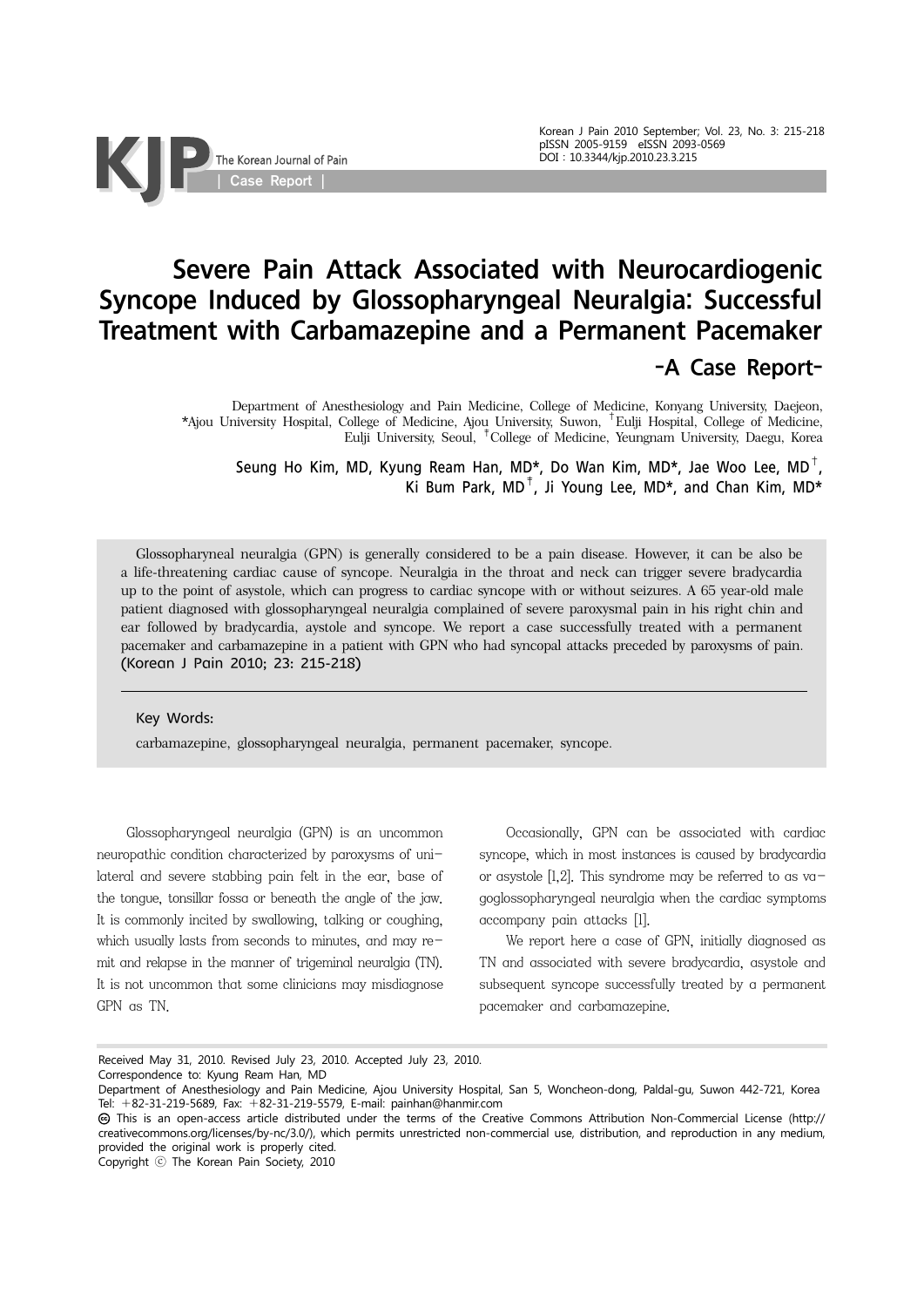# Severe Pain Attack Associated with Neurocardiogenic Syncope Induced by Glossopharyngeal Neuralgia: Successful Treatment with Carbamazepine and a Permanent Pacemaker -A Case Report-

Department of Anesthesiology and Pain Medicine, College of Medicine, Konyang University, Daejeon, \*Ajou University Hospital, College of Medicine, Ajou University, Suwon, †Eulji Hospital, College of Medicine, Eulji University, Seoul, ‡College of Medicine, Yeungnam University, Daegu, Korea

Seung Ho Kim, MD, Kyung Ream Han, MD\*, Do Wan Kim, MD\*, Jae Woo Lee, MD<sup>†</sup>, Ki Bum Park,  $MD^{\dagger}$ , Ji Young Lee, MD<sup>\*</sup>, and Chan Kim, MD<sup>\*</sup>

Glossopharyneal neuralgia (GPN) is generally considered to be a pain disease. However, it can be also be a life-threatening cardiac cause of syncope. Neuralgia in the throat and neck can trigger severe bradycardia up to the point of asystole, which can progress to cardiac syncope with or without seizures. A 65 year-old male patient diagnosed with glossopharyngeal neuralgia complained of severe paroxysmal pain in his right chin and ear followed by bradycardia, aystole and syncope. We report a case successfully treated with a permanent pacemaker and carbamazepine in a patient with GPN who had syncopal attacks preceded by paroxysms of pain. (Korean J Pain 2010; 23: 215-218)

Key Words:

carbamazepine, glossopharyngeal neuralgia, permanent pacemaker, syncope.

 Glossopharyngeal neuralgia (GPN) is an uncommon neuropathic condition characterized by paroxysms of unilateral and severe stabbing pain felt in the ear, base of the tongue, tonsillar fossa or beneath the angle of the jaw. It is commonly incited by swallowing, talking or coughing, which usually lasts from seconds to minutes, and may remit and relapse in the manner of trigeminal neuralgia (TN). It is not uncommon that some clinicians may misdiagnose GPN as TN.

| Case Report |

The Korean Journal of Pain

 Occasionally, GPN can be associated with cardiac syncope, which in most instances is caused by bradycardia or asystole  $[1,2]$ . This syndrome may be referred to as vagoglossopharyngeal neuralgia when the cardiac symptoms accompany pain attacks [1].

 We report here a case of GPN, initially diagnosed as TN and associated with severe bradycardia, asystole and subsequent syncope successfully treated by a permanent pacemaker and carbamazepine.

Copyright ⓒ The Korean Pain Society, 2010

Received May 31, 2010. Revised July 23, 2010. Accepted July 23, 2010.

Correspondence to: Kyung Ream Han, MD

Department of Anesthesiology and Pain Medicine, Ajou University Hospital, San 5, Woncheon-dong, Paldal-gu, Suwon 442-721, Korea Tel: +82-31-219-5689, Fax: +82-31-219-5579, E-mail: painhan@hanmir.com

This is an open-access article distributed under the terms of the Creative Commons Attribution Non-Commercial License (http:// creativecommons.org/licenses/by-nc/3.0/), which permits unrestricted non-commercial use, distribution, and reproduction in any medium, provided the original work is properly cited.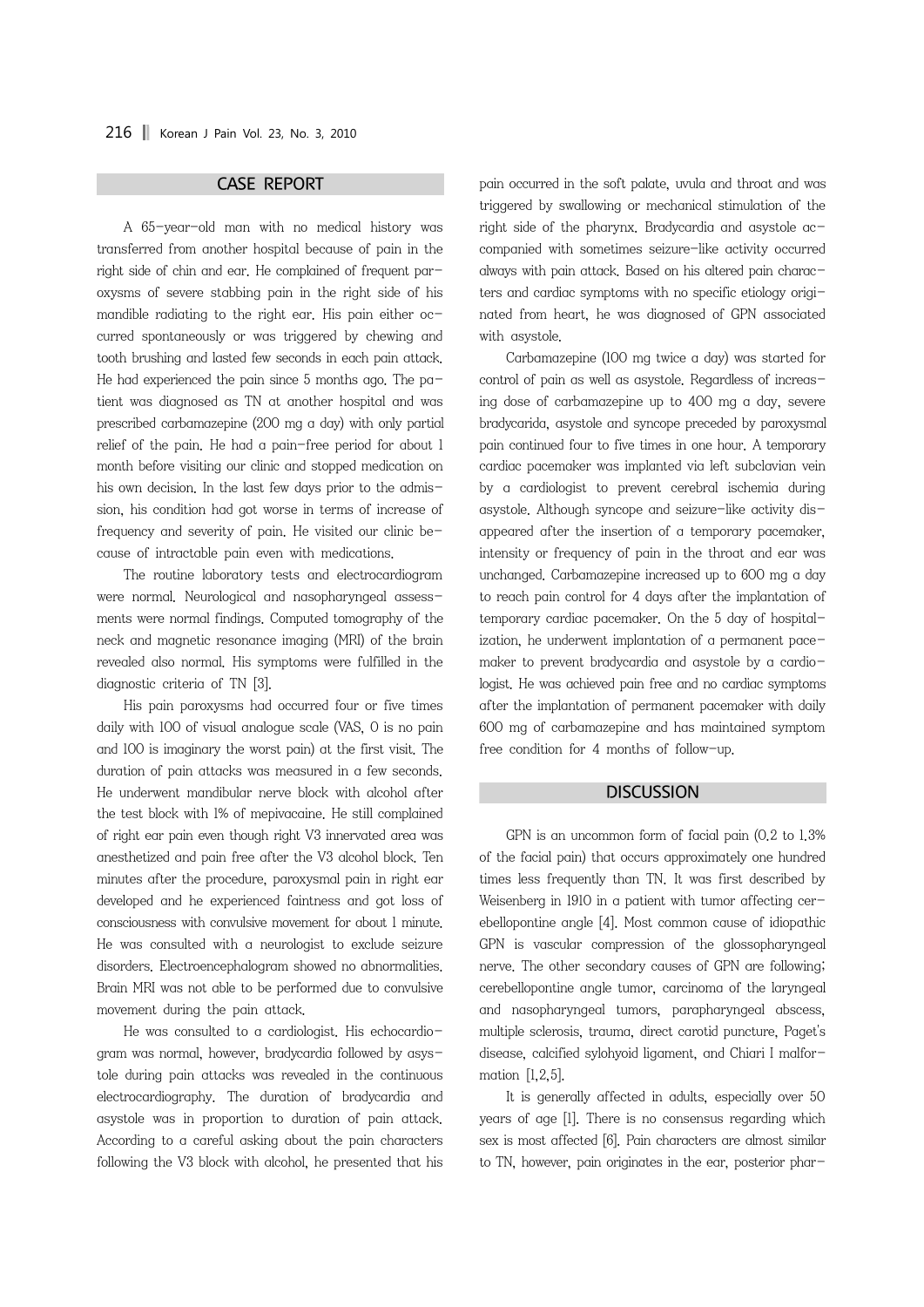### CASE REPORT

 A 65-year-old man with no medical history was transferred from another hospital because of pain in the right side of chin and ear. He complained of frequent paroxysms of severe stabbing pain in the right side of his mandible radiating to the right ear. His pain either occurred spontaneously or was triggered by chewing and tooth brushing and lasted few seconds in each pain attack. He had experienced the pain since 5 months ago. The  $pa$ tient was diagnosed as TN at another hospital and was prescribed carbamazepine (200 mg a day) with only partial relief of the pain. He had a pain-free period for about 1 month before visiting our clinic and stopped medication on his own decision. In the last few days prior to the admission, his condition had got worse in terms of increase of frequency and severity of pain. He visited our clinic because of intractable pain even with medications.

 The routine laboratory tests and electrocardiogram were normal. Neurological and nasopharyngeal assessments were normal findings. Computed tomography of the neck and magnetic resonance imaging (MRI) of the brain revealed also normal. His symptoms were fulfilled in the diagnostic criteria of TN [3].

 His pain paroxysms had occurred four or five times daily with 100 of visual analogue scale (VAS, 0 is no pain and 100 is imaginary the worst pain) at the first visit. The duration of pain attacks was measured in a few seconds. He underwent mandibular nerve block with alcohol after the test block with 1% of mepivacaine. He still complained of right ear pain even though right V3 innervated area was anesthetized and pain free after the V3 alcohol block. Ten minutes after the procedure, paroxysmal pain in right ear developed and he experienced faintness and got loss of consciousness with convulsive movement for about 1 minute. He was consulted with a neurologist to exclude seizure disorders. Electroencephalogram showed no abnormalities. Brain MRI was not able to be performed due to convulsive movement during the pain attack.

 He was consulted to a cardiologist. His echocardiogram was normal, however, bradycardia followed by asystole during pain attacks was revealed in the continuous electrocardiography. The duration of bradycardia and asystole was in proportion to duration of pain attack. According to a careful asking about the pain characters following the V3 block with alcohol, he presented that his

pain occurred in the soft palate, uvula and throat and was triggered by swallowing or mechanical stimulation of the right side of the pharynx. Bradycardia and asystole accompanied with sometimes seizure-like activity occurred always with pain attack. Based on his altered pain characters and cardiac symptoms with no specific etiology originated from heart, he was diagnosed of GPN associated with asystole.

 Carbamazepine (100 mg twice a day) was started for control of pain as well as asystole. Regardless of increasing dose of carbamazepine up to 400 mg a day, severe bradycarida, asystole and syncope preceded by paroxysmal pain continued four to five times in one hour. A temporary cardiac pacemaker was implanted via left subclavian vein by a cardiologist to prevent cerebral ischemia during asystole. Although syncope and seizure-like activity disappeared after the insertion of a temporary pacemaker, intensity or frequency of pain in the throat and ear was unchanged. Carbamazepine increased up to 600 mg a day to reach pain control for 4 days after the implantation of temporary cardiac pacemaker. On the 5 day of hospitalization, he underwent implantation of a permanent pacemaker to prevent bradycardia and asystole by a cardiologist. He was achieved pain free and no cardiac symptoms after the implantation of permanent pacemaker with daily 600 mg of carbamazepine and has maintained symptom free condition for 4 months of follow-up.

#### **DISCUSSION**

 GPN is an uncommon form of facial pain (0.2 to 1.3% of the facial pain) that occurs approximately one hundred times less frequently than TN. It was first described by Weisenberg in 1910 in a patient with tumor affecting cerebellopontine angle [4]. Most common cause of idiopathic GPN is vascular compression of the glossopharyngeal nerve. The other secondary causes of GPN are following; cerebellopontine angle tumor, carcinoma of the laryngeal and nasopharyngeal tumors, parapharyngeal abscess, multiple sclerosis, trauma, direct carotid puncture, Paget's disease, calcified sylohyoid ligament, and Chiari I malformation [1,2,5].

 It is generally affected in adults, especially over 50 years of age [1]. There is no consensus regarding which sex is most affected [6]. Pain characters are almost similar to TN, however, pain originates in the ear, posterior phar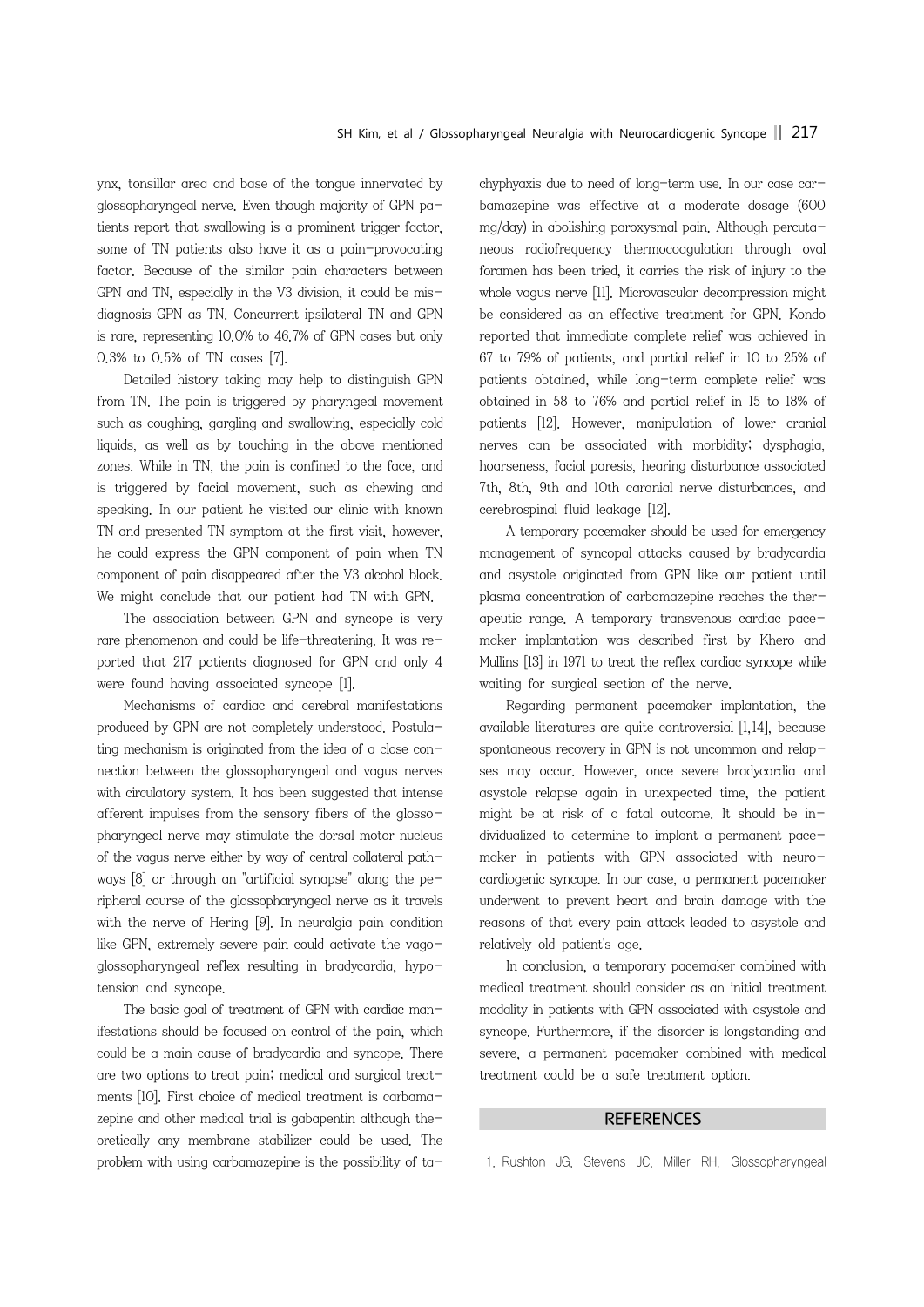ynx, tonsillar area and base of the tongue innervated by glossopharyngeal nerve. Even though majority of GPN patients report that swallowing is a prominent trigger factor, some of TN patients also have it as a pain-provocating factor. Because of the similar pain characters between GPN and TN, especially in the V3 division, it could be misdiagnosis GPN as TN. Concurrent ipsilateral TN and GPN is rare, representing 10.0% to 46.7% of GPN cases but only 0.3% to 0.5% of TN cases [7].

 Detailed history taking may help to distinguish GPN from TN. The pain is triggered by pharyngeal movement such as coughing, gargling and swallowing, especially cold liquids, as well as by touching in the above mentioned zones. While in TN, the pain is confined to the face, and is triggered by facial movement, such as chewing and speaking. In our patient he visited our clinic with known TN and presented TN symptom at the first visit, however, he could express the GPN component of pain when TN component of pain disappeared after the V3 alcohol block. We might conclude that our patient had TN with GPN.

 The association between GPN and syncope is very rare phenomenon and could be life-threatening. It was reported that 217 patients diagnosed for GPN and only 4 were found having associated syncope [1].

 Mechanisms of cardiac and cerebral manifestations produced by GPN are not completely understood. Postulating mechanism is originated from the idea of a close connection between the glossopharyngeal and vagus nerves with circulatory system. It has been suggested that intense afferent impulses from the sensory fibers of the glossopharyngeal nerve may stimulate the dorsal motor nucleus of the vagus nerve either by way of central collateral pathways  $[8]$  or through an "artificial synapse" along the peripheral course of the glossopharyngeal nerve as it travels with the nerve of Hering [9]. In neuralgia pain condition like GPN, extremely severe pain could activate the vagoglossopharyngeal reflex resulting in bradycardia, hypotension and syncope.

The basic goal of treatment of GPN with cardiac manifestations should be focused on control of the pain, which could be a main cause of bradycardia and syncope. There are two options to treat pain; medical and surgical treatments [10]. First choice of medical treatment is carbamazepine and other medical trial is gabapentin although theoretically any membrane stabilizer could be used. The problem with using carbamazepine is the possibility of tachyphyaxis due to need of long-term use. In our case carbamazepine was effective at a moderate dosage (600 mg/day) in abolishing paroxysmal pain. Although percutaneous radiofrequency thermocoagulation through oval foramen has been tried, it carries the risk of injury to the whole vagus nerve [11]. Microvascular decompression might be considered as an effective treatment for GPN. Kondo reported that immediate complete relief was achieved in 67 to 79% of patients, and partial relief in 10 to 25% of patients obtained, while long-term complete relief was obtained in 58 to 76% and partial relief in 15 to 18% of patients [12]. However, manipulation of lower cranial nerves can be associated with morbidity; dysphagia, hoarseness, facial paresis, hearing disturbance associated 7th, 8th, 9th and 10th caranial nerve disturbances, and cerebrospinal fluid leakage [12].

 A temporary pacemaker should be used for emergency management of syncopal attacks caused by bradycardia and asystole originated from GPN like our patient until plasma concentration of carbamazepine reaches the therapeutic range. A temporary transvenous cardiac pacemaker implantation was described first by Khero and Mullins [13] in 1971 to treat the reflex cardiac syncope while waiting for surgical section of the nerve.

 Regarding permanent pacemaker implantation, the available literatures are quite controversial [1,14], because spontaneous recovery in GPN is not uncommon and relapses may occur. However, once severe bradycardia and asystole relapse again in unexpected time, the patient might be at risk of a fatal outcome. It should be individualized to determine to implant a permanent pacemaker in patients with GPN associated with neurocardiogenic syncope. In our case, a permanent pacemaker underwent to prevent heart and brain damage with the reasons of that every pain attack leaded to asystole and relatively old patient's age.

 In conclusion, a temporary pacemaker combined with medical treatment should consider as an initial treatment modality in patients with GPN associated with asystole and syncope. Furthermore, if the disorder is longstanding and severe, a permanent pacemaker combined with medical treatment could be a safe treatment option.

## **REFERENCES**

1. Rushton JG, Stevens JC, Miller RH. Glossopharyngeal